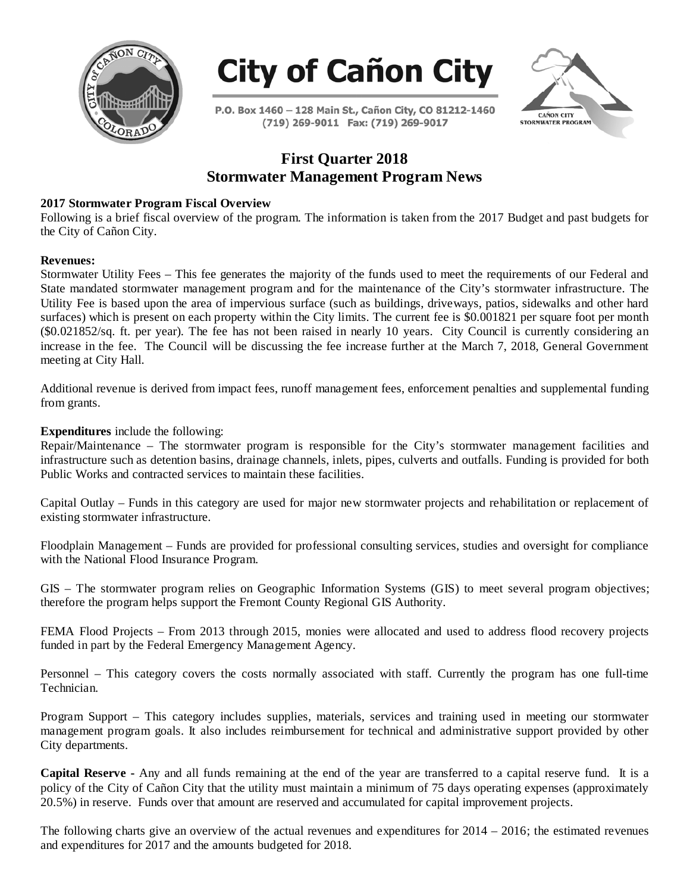



P.O. Box 1460 - 128 Main St., Cañon City, CO 81212-1460 (719) 269-9011 Fax: (719) 269-9017



# **First Quarter 2018 Stormwater Management Program News**

# **2017 Stormwater Program Fiscal Overview**

Following is a brief fiscal overview of the program. The information is taken from the 2017 Budget and past budgets for the City of Cañon City.

### **Revenues:**

Stormwater Utility Fees – This fee generates the majority of the funds used to meet the requirements of our Federal and State mandated stormwater management program and for the maintenance of the City's stormwater infrastructure. The Utility Fee is based upon the area of impervious surface (such as buildings, driveways, patios, sidewalks and other hard surfaces) which is present on each property within the City limits. The current fee is \$0.001821 per square foot per month (\$0.021852/sq. ft. per year). The fee has not been raised in nearly 10 years. City Council is currently considering an increase in the fee. The Council will be discussing the fee increase further at the March 7, 2018, General Government meeting at City Hall.

Additional revenue is derived from impact fees, runoff management fees, enforcement penalties and supplemental funding from grants.

## **Expenditures** include the following:

Repair/Maintenance – The stormwater program is responsible for the City's stormwater management facilities and infrastructure such as detention basins, drainage channels, inlets, pipes, culverts and outfalls. Funding is provided for both Public Works and contracted services to maintain these facilities.

Capital Outlay – Funds in this category are used for major new stormwater projects and rehabilitation or replacement of existing stormwater infrastructure.

Floodplain Management – Funds are provided for professional consulting services, studies and oversight for compliance with the National Flood Insurance Program.

GIS – The stormwater program relies on Geographic Information Systems (GIS) to meet several program objectives; therefore the program helps support the Fremont County Regional GIS Authority.

FEMA Flood Projects – From 2013 through 2015, monies were allocated and used to address flood recovery projects funded in part by the Federal Emergency Management Agency.

Personnel – This category covers the costs normally associated with staff. Currently the program has one full-time Technician.

Program Support – This category includes supplies, materials, services and training used in meeting our stormwater management program goals. It also includes reimbursement for technical and administrative support provided by other City departments.

**Capital Reserve -** Any and all funds remaining at the end of the year are transferred to a capital reserve fund. It is a policy of the City of Cañon City that the utility must maintain a minimum of 75 days operating expenses (approximately 20.5%) in reserve. Funds over that amount are reserved and accumulated for capital improvement projects.

The following charts give an overview of the actual revenues and expenditures for  $2014 - 2016$ ; the estimated revenues and expenditures for 2017 and the amounts budgeted for 2018.